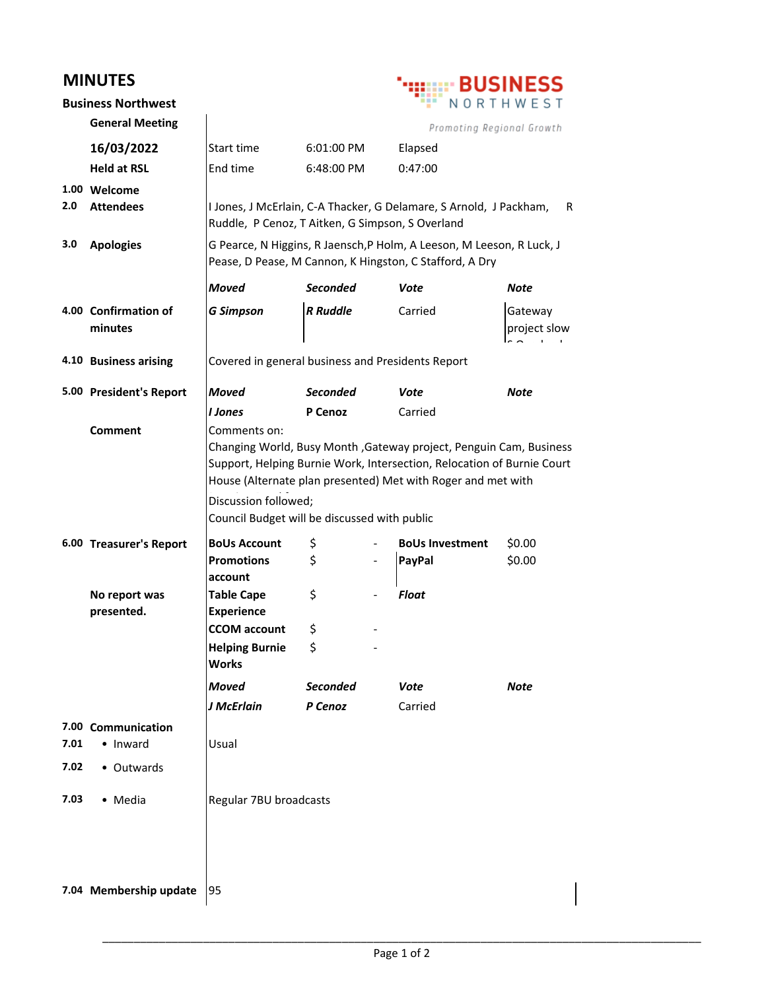## **MINUTES**



|      | <b>Business Northwest</b>        |                                                                                                                                                                                                                                                                                                      |                 |  |                                                                    | —————<br>NORTHWEST      |
|------|----------------------------------|------------------------------------------------------------------------------------------------------------------------------------------------------------------------------------------------------------------------------------------------------------------------------------------------------|-----------------|--|--------------------------------------------------------------------|-------------------------|
|      | <b>General Meeting</b>           |                                                                                                                                                                                                                                                                                                      |                 |  | Promoting Regional Growth                                          |                         |
|      | 16/03/2022                       | Start time                                                                                                                                                                                                                                                                                           | 6:01:00 PM      |  | Elapsed                                                            |                         |
|      | <b>Held at RSL</b>               | End time                                                                                                                                                                                                                                                                                             | 6:48:00 PM      |  | 0:47:00                                                            |                         |
| 2.0  | 1.00 Welcome<br><b>Attendees</b> | Ruddle, P Cenoz, T Aitken, G Simpson, S Overland                                                                                                                                                                                                                                                     |                 |  | I Jones, J McErlain, C-A Thacker, G Delamare, S Arnold, J Packham, | R                       |
| 3.0  | <b>Apologies</b>                 | G Pearce, N Higgins, R Jaensch, P Holm, A Leeson, M Leeson, R Luck, J<br>Pease, D Pease, M Cannon, K Hingston, C Stafford, A Dry                                                                                                                                                                     |                 |  |                                                                    |                         |
|      |                                  | <b>Moved</b>                                                                                                                                                                                                                                                                                         | <b>Seconded</b> |  | Vote                                                               | Note                    |
|      | 4.00 Confirmation of<br>minutes  | <b>G Simpson</b>                                                                                                                                                                                                                                                                                     | <b>R</b> Ruddle |  | Carried                                                            | Gateway<br>project slow |
|      | 4.10 Business arising            | Covered in general business and Presidents Report                                                                                                                                                                                                                                                    |                 |  |                                                                    |                         |
|      | 5.00 President's Report          | <b>Moved</b>                                                                                                                                                                                                                                                                                         | <b>Seconded</b> |  | Vote                                                               | <b>Note</b>             |
|      |                                  | <b>I</b> Jones                                                                                                                                                                                                                                                                                       | P Cenoz         |  | Carried                                                            |                         |
|      | <b>Comment</b>                   | Comments on:<br>Changing World, Busy Month, Gateway project, Penguin Cam, Business<br>Support, Helping Burnie Work, Intersection, Relocation of Burnie Court<br>House (Alternate plan presented) Met with Roger and met with<br>Discussion followed;<br>Council Budget will be discussed with public |                 |  |                                                                    |                         |
|      | 6.00 Treasurer's Report          | <b>BoUs Account</b><br><b>Promotions</b>                                                                                                                                                                                                                                                             | \$<br>\$        |  | <b>BoUs Investment</b><br><b>PayPal</b>                            | \$0.00<br>\$0.00        |
|      | No report was<br>presented.      | account<br><b>Table Cape</b><br><b>Experience</b>                                                                                                                                                                                                                                                    | \$              |  | <b>Float</b>                                                       |                         |
|      |                                  | <b>CCOM</b> account                                                                                                                                                                                                                                                                                  | \$              |  |                                                                    |                         |
|      |                                  | <b>Helping Burnie</b><br><b>Works</b>                                                                                                                                                                                                                                                                | \$              |  |                                                                    |                         |
|      |                                  | Moved                                                                                                                                                                                                                                                                                                | <b>Seconded</b> |  | <b>Vote</b>                                                        | <b>Note</b>             |
|      |                                  | J McErlain                                                                                                                                                                                                                                                                                           | P Cenoz         |  | Carried                                                            |                         |
| 7.01 | 7.00 Communication<br>• Inward   | Usual                                                                                                                                                                                                                                                                                                |                 |  |                                                                    |                         |
| 7.02 | • Outwards                       |                                                                                                                                                                                                                                                                                                      |                 |  |                                                                    |                         |
| 7.03 | • Media                          | Regular 7BU broadcasts                                                                                                                                                                                                                                                                               |                 |  |                                                                    |                         |
|      | 7.04 Membership update           | 95                                                                                                                                                                                                                                                                                                   |                 |  |                                                                    |                         |